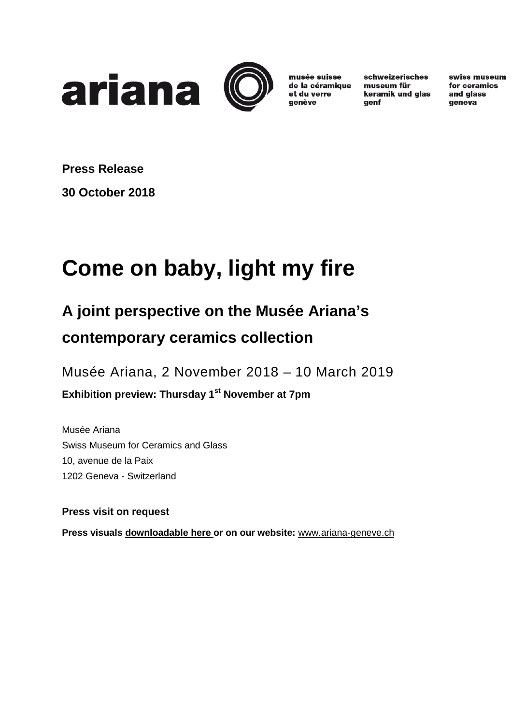



musée suisse de la céramique et du verre aenève

schweizerisches museum für keramik und glas genf

swiss museum for ceramics and glass geneva

**Press Release 30 October 2018**

# **Come on baby, light my fire**

# **A joint perspective on the Musée Ariana's contemporary ceramics collection**

Musée Ariana, 2 November 2018 – 10 March 2019

**Exhibition preview: Thursday 1st November at 7pm**

Musée Ariana Swiss Museum for Ceramics and Glass 10, avenue de la Paix 1202 Geneva - Switzerland

**Press visit on request**

**Press visuals [downloadable here o](https://vdgbox.ville-geneve.ch/index.php/s/qZW1LQALK4gWQDa)r on our website:** [www.ariana-geneve.ch](http://www.ariana-geneve.ch/)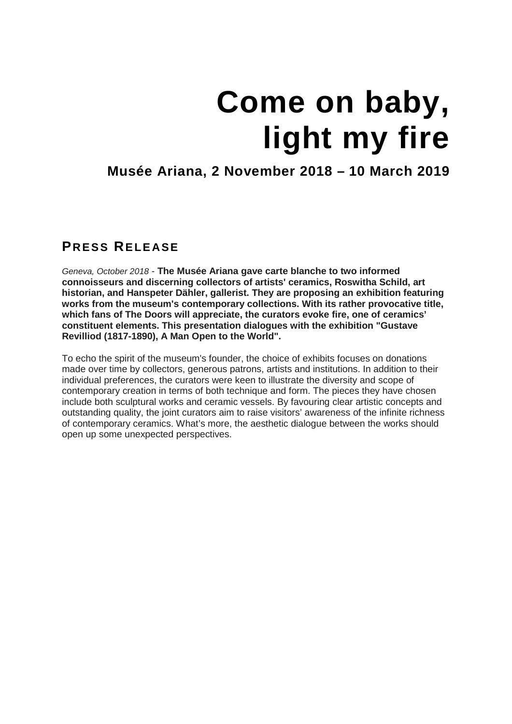# **Come on baby, light my fire**

## **Musée Ariana, 2 November 2018 – 10 March 2019**

### **PRESS RELEASE**

*Geneva, October 2018* - **The Musée Ariana gave carte blanche to two informed connoisseurs and discerning collectors of artists' ceramics, Roswitha Schild, art historian, and Hanspeter Dähler, gallerist. They are proposing an exhibition featuring works from the museum's contemporary collections. With its rather provocative title, which fans of The Doors will appreciate, the curators evoke fire, one of ceramics' constituent elements. This presentation dialogues with the exhibition "Gustave Revilliod (1817-1890), A Man Open to the World".**

To echo the spirit of the museum's founder, the choice of exhibits focuses on donations made over time by collectors, generous patrons, artists and institutions. In addition to their individual preferences, the curators were keen to illustrate the diversity and scope of contemporary creation in terms of both technique and form. The pieces they have chosen include both sculptural works and ceramic vessels. By favouring clear artistic concepts and outstanding quality, the joint curators aim to raise visitors' awareness of the infinite richness of contemporary ceramics. What's more, the aesthetic dialogue between the works should open up some unexpected perspectives.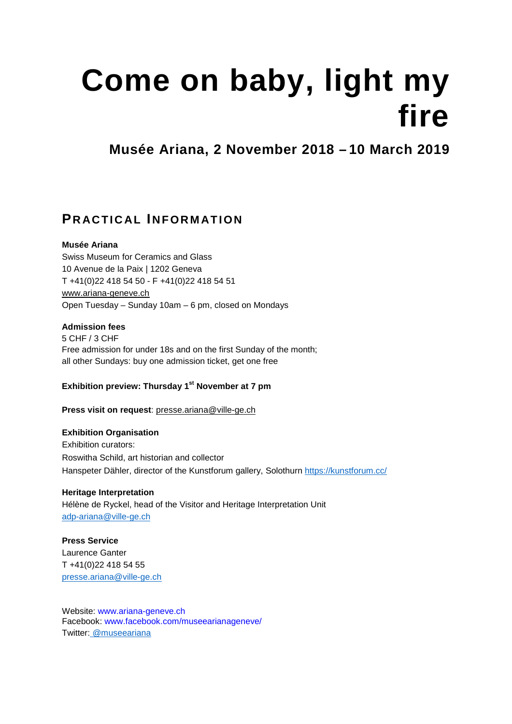# **Come on baby, light my fire**

**Musée Ariana, 2 November 2018 – 10 March 2019**

### **PRACTICAL INFORMATION**

#### **Musée Ariana**

Swiss Museum for Ceramics and Glass 10 Avenue de la Paix | 1202 Geneva T +41(0)22 418 54 50 - F +41(0)22 418 54 51 [www.ariana-geneve.ch](http://www.ariana-geneve.ch/) Open Tuesday – Sunday 10am – 6 pm, closed on Mondays

#### **Admission fees**

5 CHF / 3 CHF Free admission for under 18s and on the first Sunday of the month; all other Sundays: buy one admission ticket, get one free

#### **Exhibition preview: Thursday 1st November at 7 pm**

**Press visit on request**: [presse.ariana@ville-ge.ch](mailto:presse.ariana@ville-ge.ch)

#### **Exhibition Organisation**

Exhibition curators: Roswitha Schild, art historian and collector Hanspeter Dähler, director of the Kunstforum gallery, Solothurn<https://kunstforum.cc/>

#### **Heritage Interpretation**

Hélène de Ryckel, head of the Visitor and Heritage Interpretation Unit [adp-ariana@ville-ge.ch](mailto:adp-ariana@ville-ge.ch)

## **Press Service**

Laurence Ganter T +41(0)22 418 54 55 [presse.ariana@ville-ge.ch](mailto:ariana@ville-ge.ch)

Website: www.ariana-geneve.ch Facebook: www.facebook.com/museearianageneve/ Twitter: @museeariana